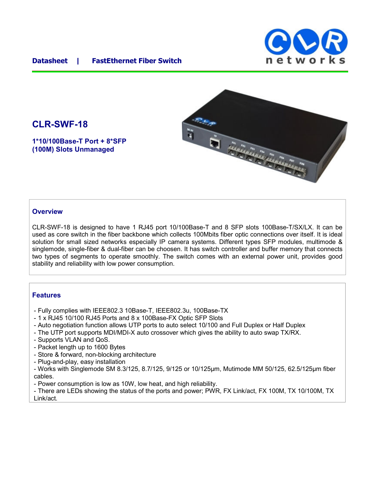## **Datasheet | FastEthernet Fiber Switch**





# **CLR-SWF-18**

**1\*10/100Base-T Port + 8\*SFP (100M) Slots Unmanaged**

### **Overview**

CLR-SWF-18 is designed to have 1 RJ45 port 10/100Base-T and 8 SFP slots 100Base-T/SX/LX. It can be used as core switch in the fiber backbone which collects 100Mbits fiber optic connections over itself. It is ideal solution for small sized networks especially IP camera systems. Different types SFP modules, multimode & singlemode, single-fiber & dual-fiber can be choosen. It has switch controller and buffer memory that connects two types of segments to operate smoothly. The switch comes with an external power unit, provides good stability and reliability with low power consumption.

## **Features**

- Fully complies with IEEE802.3 10Base-T, IEEE802.3u, 100Base-TX
- 1 x RJ45 10/100 RJ45 Ports and 8 x 100Base-FX Optic SFP Slots
- Auto negotiation function allows UTP ports to auto select 10/100 and Full Duplex or Half Duplex
- The UTP port supports MDI/MDI-X auto crossover which gives the ability to auto swap TX/RX.
- Supports VLAN and QoS.
- Packet length up to 1600 Bytes
- Store & forward, non-blocking architecture
- Plug-and-play, easy installation

- Works with Singlemode SM 8.3/125, 8.7/125, 9/125 or 10/125μm, Mutimode MM 50/125, 62.5/125μm fiber cables.

- Power consumption is low as 10W, low heat, and high reliability.

- There are LEDs showing the status of the ports and power; PWR, FX Link/act, FX 100M, TX 10/100M, TX Link/act.